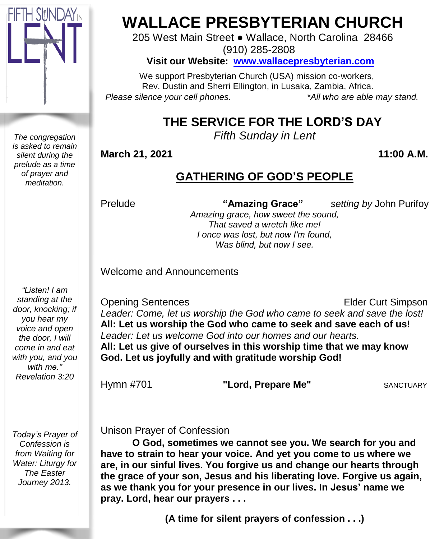

*The congregation is asked to remain silent during the prelude as a time of prayer and meditation.*

# **WALLACE PRESBYTERIAN CHURCH**

205 West Main Street ● Wallace, North Carolina 28466 (910) 285-2808

**Visit our Website: [www.wallacepresbyterian.com](http://www.wallacepresbyterian.com/)**

 We support Presbyterian Church (USA) mission co-workers, Rev. Dustin and Sherri Ellington, in Lusaka, Zambia, Africa. *Please silence your cell phones. \*All who are able may stand.*

# **THE SERVICE FOR THE LORD'S DAY**

*Fifth Sunday in Lent* 

**March** 21, 2021 11:00 A.M.

## **GATHERING OF GOD'S PEOPLE**

Prelude **"Amazing Grace"** *setting by* John Purifoy

*Amazing grace, how sweet the sound, That saved a wretch like me! I once was lost, but now I'm found, Was blind, but now I see.*

Welcome and Announcements

**Opening Sentences Elder Curt Simpson** *Leader: Come, let us worship the God who came to seek and save the lost!* **All: Let us worship the God who came to seek and save each of us!** *Leader: Let us welcome God into our homes and our hearts.* **All: Let us give of ourselves in this worship time that we may know God. Let us joyfully and with gratitude worship God!**

Hymn #701 **"Lord, Prepare Me"** SANCTUARY

*Today's Prayer of Confession is from Waiting for Water: Liturgy for The Easter Journey 2013.*

Unison Prayer of Confession

**O God, sometimes we cannot see you. We search for you and have to strain to hear your voice. And yet you come to us where we are, in our sinful lives. You forgive us and change our hearts through the grace of your son, Jesus and his liberating love. Forgive us again, as we thank you for your presence in our lives. In Jesus' name we pray. Lord, hear our prayers . . .**

**(A time for silent prayers of confession . . .)**

*standing at the door, knocking; if you hear my voice and open the door, I will come in and eat with you, and you with me." Revelation 3:20*

*"Listen! I am*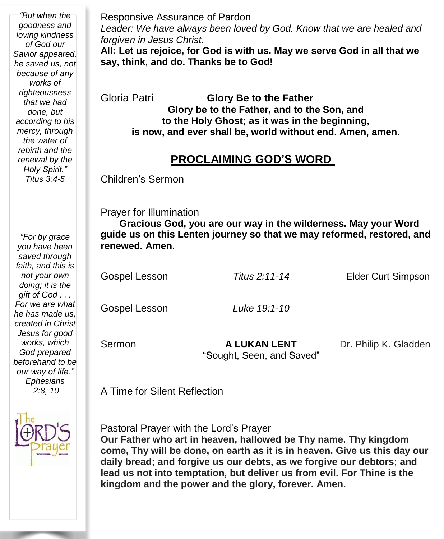*"But when the goodness and loving kindness of God our Savior appeared, he saved us, not because of any works of righteousness that we had done, but according to his mercy, through the water of rebirth and the renewal by the Holy Spirit." Titus 3:4-5*

*"For by grace you have been saved through faith, and this is not your own doing; it is the gift of God . . . For we are what he has made us, created in Christ Jesus for good works, which God prepared beforehand to be our way of life." Ephesians 2:8, 10*



Responsive Assurance of Pardon *Leader: We have always been loved by God. Know that we are healed and forgiven in Jesus Christ.* **All: Let us rejoice, for God is with us. May we serve God in all that we say, think, and do. Thanks be to God!**

Gloria Patri **Glory Be to the Father Glory be to the Father, and to the Son, and to the Holy Ghost; as it was in the beginning, is now, and ever shall be, world without end. Amen, amen.**

#### **PROCLAIMING GOD'S WORD**

Children's Sermon

Prayer for Illumination

 **Gracious God, you are our way in the wilderness. May your Word guide us on this Lenten journey so that we may reformed, restored, and renewed. Amen.**

Gospel Lesson *Titus 2:11-14* Elder Curt Simpson Gospel Lesson *Luke 19:1-10* **Sermon A LUKAN LENT** Dr. Philip K. Gladden

"Sought, Seen, and Saved"

A Time for Silent Reflection

Pastoral Prayer with the Lord's Prayer

**Our Father who art in heaven, hallowed be Thy name. Thy kingdom come, Thy will be done, on earth as it is in heaven. Give us this day our daily bread; and forgive us our debts, as we forgive our debtors; and lead us not into temptation, but deliver us from evil. For Thine is the kingdom and the power and the glory, forever. Amen.**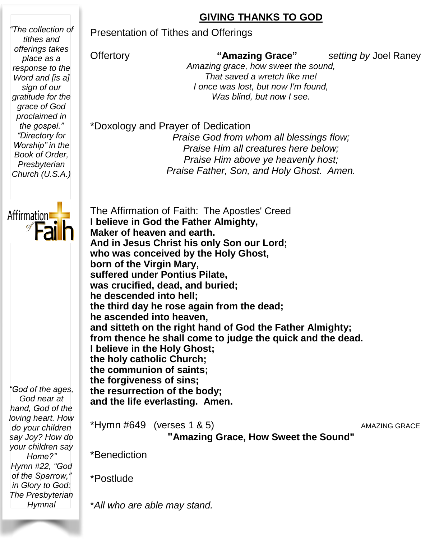#### **GIVING THANKS TO GOD**

Presentation of Tithes and Offerings

*"The collection of tithes and offerings takes place as a response to the Word and [is a] sign of our gratitude for the grace of God proclaimed in the gospel." "Directory for Worship" in the Book of Order, Presbyterian Church (U.S.A.)*

Offertory **"Amazing Grace"** *setting by* Joel Raney

*Amazing grace, how sweet the sound, That saved a wretch like me! I once was lost, but now I'm found, Was blind, but now I see.*

\*Doxology and Prayer of Dedication

*Praise God from whom all blessings flow; Praise Him all creatures here below; Praise Him above ye heavenly host; Praise Father, Son, and Holy Ghost. Amen.*



 The Affirmation of Faith: The Apostles' Creed **I believe in God the Father Almighty, Maker of heaven and earth. And in Jesus Christ his only Son our Lord; who was conceived by the Holy Ghost, born of the Virgin Mary, suffered under Pontius Pilate, was crucified, dead, and buried; he descended into hell; the third day he rose again from the dead; he ascended into heaven, and sitteth on the right hand of God the Father Almighty; from thence he shall come to judge the quick and the dead. I believe in the Holy Ghost; the holy catholic Church; the communion of saints; the forgiveness of sins; the resurrection of the body; and the life everlasting. Amen.**

*"God of the ages, God near at hand, God of the loving heart. How do your children say Joy? How do your children say Home?" Hymn #22, "God of the Sparrow," in Glory to God: The Presbyterian Hymnal*

\*Hymn #649 (verses 1 & 5) AMAZING GRACE **"Amazing Grace, How Sweet the Sound"**

\*Benediction

\*Postlude

\**All who are able may stand.*